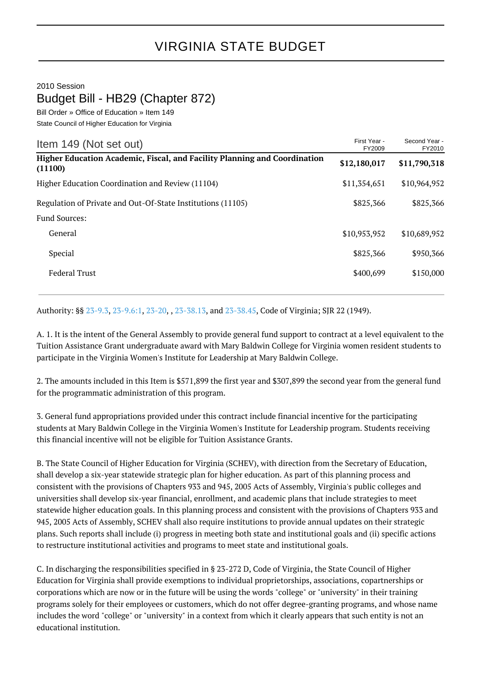## VIRGINIA STATE BUDGET

2010 Session

## Budget Bill - HB29 (Chapter 872)

Bill Order » Office of Education » Item 149 State Council of Higher Education for Virginia

| Item 149 (Not set out)                                                               | First Year -<br>FY2009 | Second Year -<br>FY2010 |
|--------------------------------------------------------------------------------------|------------------------|-------------------------|
| Higher Education Academic, Fiscal, and Facility Planning and Coordination<br>(11100) | \$12,180,017           | \$11,790,318            |
| Higher Education Coordination and Review (11104)                                     | \$11,354,651           | \$10,964,952            |
| Regulation of Private and Out-Of-State Institutions (11105)                          | \$825,366              | \$825,366               |
| <b>Fund Sources:</b>                                                                 |                        |                         |
| General                                                                              | \$10,953,952           | \$10,689,952            |
| Special                                                                              | \$825,366              | \$950,366               |
| <b>Federal Trust</b>                                                                 | \$400,699              | \$150,000               |
|                                                                                      |                        |                         |

Authority: §§ [23-9.3](http://law.lis.virginia.gov/vacode/23-9.3/), [23-9.6:1](http://law.lis.virginia.gov/vacode/23-9.6:1/), [23-20](http://law.lis.virginia.gov/vacode/23-20/), , [23-38.13,](http://law.lis.virginia.gov/vacode/23-38.13/) and [23-38.45](http://law.lis.virginia.gov/vacode/23-38.45/), Code of Virginia; SJR 22 (1949).

A. 1. It is the intent of the General Assembly to provide general fund support to contract at a level equivalent to the Tuition Assistance Grant undergraduate award with Mary Baldwin College for Virginia women resident students to participate in the Virginia Women's Institute for Leadership at Mary Baldwin College.

2. The amounts included in this Item is \$571,899 the first year and \$307,899 the second year from the general fund for the programmatic administration of this program.

3. General fund appropriations provided under this contract include financial incentive for the participating students at Mary Baldwin College in the Virginia Women's Institute for Leadership program. Students receiving this financial incentive will not be eligible for Tuition Assistance Grants.

B. The State Council of Higher Education for Virginia (SCHEV), with direction from the Secretary of Education, shall develop a six-year statewide strategic plan for higher education. As part of this planning process and consistent with the provisions of Chapters 933 and 945, 2005 Acts of Assembly, Virginia's public colleges and universities shall develop six-year financial, enrollment, and academic plans that include strategies to meet statewide higher education goals. In this planning process and consistent with the provisions of Chapters 933 and 945, 2005 Acts of Assembly, SCHEV shall also require institutions to provide annual updates on their strategic plans. Such reports shall include (i) progress in meeting both state and institutional goals and (ii) specific actions to restructure institutional activities and programs to meet state and institutional goals.

C. In discharging the responsibilities specified in § 23-272 D, Code of Virginia, the State Council of Higher Education for Virginia shall provide exemptions to individual proprietorships, associations, copartnerships or corporations which are now or in the future will be using the words "college" or "university" in their training programs solely for their employees or customers, which do not offer degree-granting programs, and whose name includes the word "college" or "university" in a context from which it clearly appears that such entity is not an educational institution.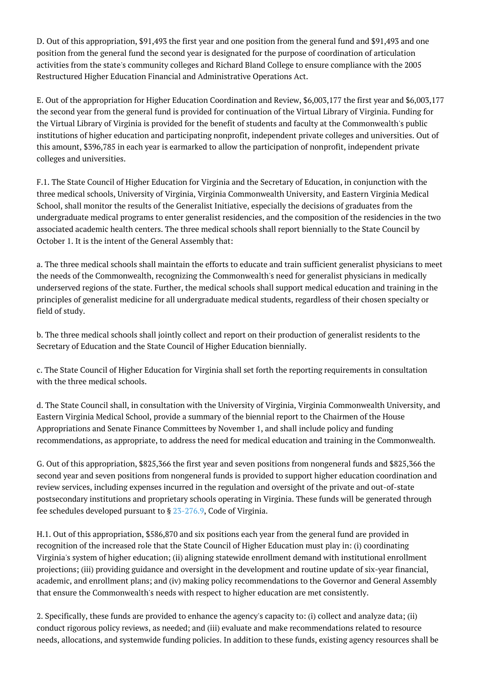D. Out of this appropriation, \$91,493 the first year and one position from the general fund and \$91,493 and one position from the general fund the second year is designated for the purpose of coordination of articulation activities from the state's community colleges and Richard Bland College to ensure compliance with the 2005 Restructured Higher Education Financial and Administrative Operations Act.

E. Out of the appropriation for Higher Education Coordination and Review, \$6,003,177 the first year and \$6,003,177 the second year from the general fund is provided for continuation of the Virtual Library of Virginia. Funding for the Virtual Library of Virginia is provided for the benefit of students and faculty at the Commonwealth's public institutions of higher education and participating nonprofit, independent private colleges and universities. Out of this amount, \$396,785 in each year is earmarked to allow the participation of nonprofit, independent private colleges and universities.

F.1. The State Council of Higher Education for Virginia and the Secretary of Education, in conjunction with the three medical schools, University of Virginia, Virginia Commonwealth University, and Eastern Virginia Medical School, shall monitor the results of the Generalist Initiative, especially the decisions of graduates from the undergraduate medical programs to enter generalist residencies, and the composition of the residencies in the two associated academic health centers. The three medical schools shall report biennially to the State Council by October 1. It is the intent of the General Assembly that:

a. The three medical schools shall maintain the efforts to educate and train sufficient generalist physicians to meet the needs of the Commonwealth, recognizing the Commonwealth's need for generalist physicians in medically underserved regions of the state. Further, the medical schools shall support medical education and training in the principles of generalist medicine for all undergraduate medical students, regardless of their chosen specialty or field of study.

b. The three medical schools shall jointly collect and report on their production of generalist residents to the Secretary of Education and the State Council of Higher Education biennially.

c. The State Council of Higher Education for Virginia shall set forth the reporting requirements in consultation with the three medical schools.

d. The State Council shall, in consultation with the University of Virginia, Virginia Commonwealth University, and Eastern Virginia Medical School, provide a summary of the biennial report to the Chairmen of the House Appropriations and Senate Finance Committees by November 1, and shall include policy and funding recommendations, as appropriate, to address the need for medical education and training in the Commonwealth.

G. Out of this appropriation, \$825,366 the first year and seven positions from nongeneral funds and \$825,366 the second year and seven positions from nongeneral funds is provided to support higher education coordination and review services, including expenses incurred in the regulation and oversight of the private and out-of-state postsecondary institutions and proprietary schools operating in Virginia. These funds will be generated through fee schedules developed pursuant to § [23-276.9](http://law.lis.virginia.gov/vacode/23-276.9/), Code of Virginia.

H.1. Out of this appropriation, \$586,870 and six positions each year from the general fund are provided in recognition of the increased role that the State Council of Higher Education must play in: (i) coordinating Virginia's system of higher education; (ii) aligning statewide enrollment demand with institutional enrollment projections; (iii) providing guidance and oversight in the development and routine update of six-year financial, academic, and enrollment plans; and (iv) making policy recommendations to the Governor and General Assembly that ensure the Commonwealth's needs with respect to higher education are met consistently.

2. Specifically, these funds are provided to enhance the agency's capacity to: (i) collect and analyze data; (ii) conduct rigorous policy reviews, as needed; and (iii) evaluate and make recommendations related to resource needs, allocations, and systemwide funding policies. In addition to these funds, existing agency resources shall be